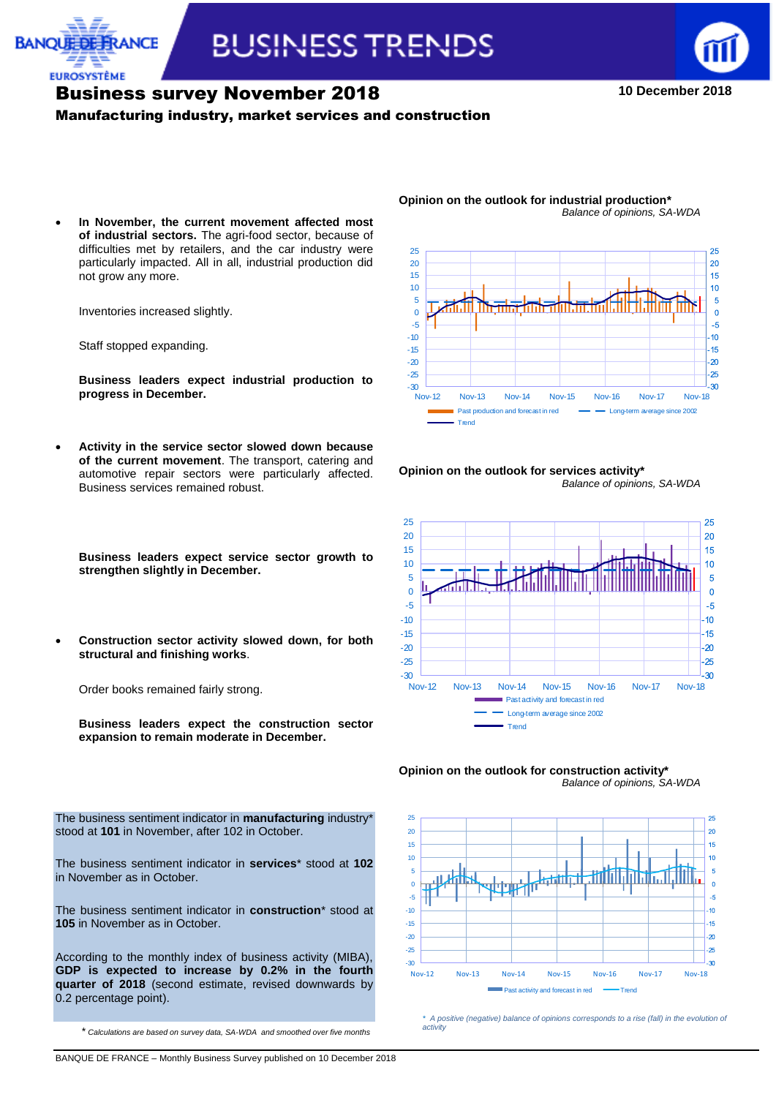



**10 December 2018**

## Business survey November 2018

#### Manufacturing industry, market services and construction

 **In November, the current movement affected most of industrial sectors.** The agri-food sector, because of difficulties met by retailers, and the car industry were particularly impacted. All in all, industrial production did not grow any more.

Inventories increased slightly.

Staff stopped expanding.

**EUROSYSTÈME** 

**Business leaders expect industrial production to progress in December.**

 **Activity in the service sector slowed down because of the current movement**. The transport, catering and automotive repair sectors were particularly affected. Business services remained robust.

**Opinion on the outlook for industrial production\*** *Balance of opinions, SA-WDA*















*\* A positive (negative) balance of opinions corresponds to a rise (fall) in the evolution of activity*

**Business leaders expect service sector growth to strengthen slightly in December.**

 **Construction sector activity slowed down, for both structural and finishing works**.

Order books remained fairly strong.

**Business leaders expect the construction sector expansion to remain moderate in December.**

The business sentiment indicator in **manufacturing** industry\* stood at **101** in November, after 102 in October.

The business sentiment indicator in **services**\* stood at **102** in November as in October.

The business sentiment indicator in **construction**\* stood at **105** in November as in October.

According to the monthly index of business activity (MIBA), **GDP is expected to increase by 0.2% in the fourth quarter of 2018** (second estimate, revised downwards by 0.2 percentage point).

\* *Calculations are based on survey data, SA-WDA and smoothed over five months*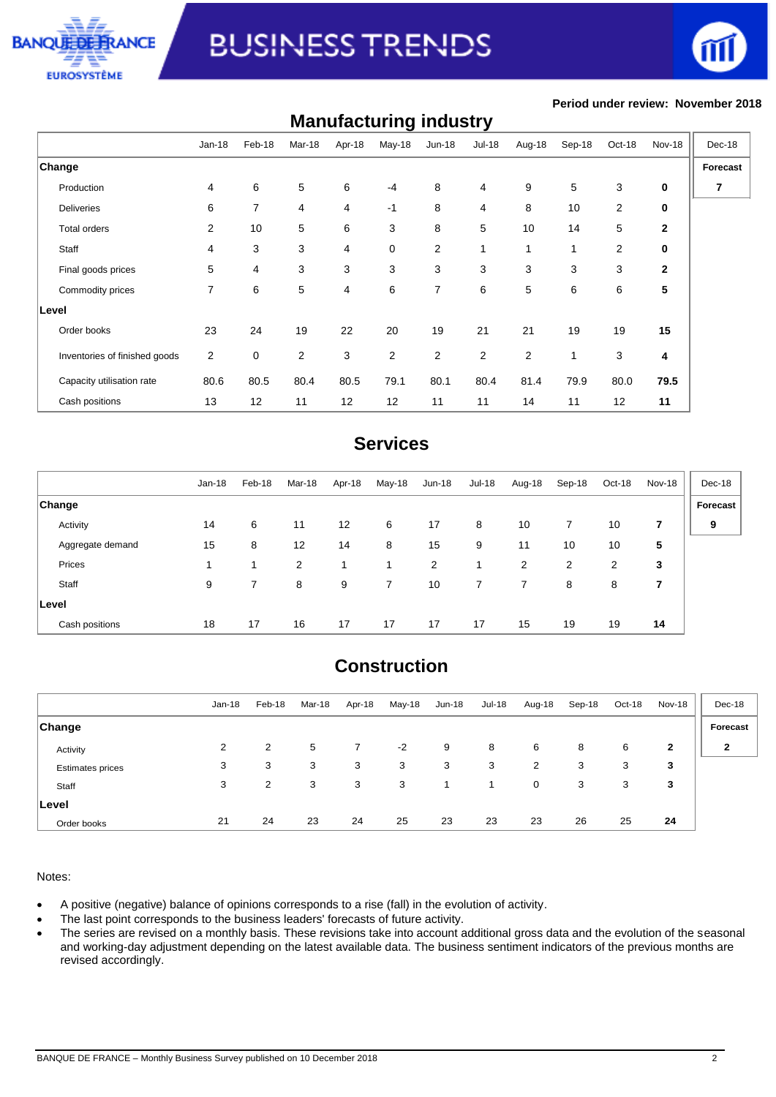



#### **Period under review: November 2018**

| <b>Manufacturing industry</b> |          |                |                |                |        |                |               |        |              |        |              |          |
|-------------------------------|----------|----------------|----------------|----------------|--------|----------------|---------------|--------|--------------|--------|--------------|----------|
|                               | $Jan-18$ | Feb-18         | Mar-18         | Apr-18         | May-18 | <b>Jun-18</b>  | <b>Jul-18</b> | Aug-18 | Sep-18       | Oct-18 | Nov-18       | Dec-18   |
| Change                        |          |                |                |                |        |                |               |        |              |        |              | Forecast |
| Production                    | 4        | 6              | 5              | 6              | $-4$   | 8              | 4             | 9      | 5            | 3      | 0            | 7        |
| <b>Deliveries</b>             | 6        | $\overline{7}$ | 4              | 4              | $-1$   | 8              | 4             | 8      | 10           | 2      | 0            |          |
| Total orders                  | 2        | 10             | 5              | 6              | 3      | 8              | 5             | 10     | 14           | 5      | $\mathbf 2$  |          |
| Staff                         | 4        | 3              | 3              | 4              | 0      | $\overline{2}$ | $\mathbf{1}$  | 1      | 1            | 2      | 0            |          |
| Final goods prices            | 5        | 4              | 3              | 3              | 3      | 3              | 3             | 3      | 3            | 3      | $\mathbf{2}$ |          |
| Commodity prices              | 7        | 6              | 5              | $\overline{4}$ | 6      | $\overline{7}$ | 6             | 5      | 6            | 6      | 5            |          |
| Level                         |          |                |                |                |        |                |               |        |              |        |              |          |
| Order books                   | 23       | 24             | 19             | 22             | 20     | 19             | 21            | 21     | 19           | 19     | 15           |          |
| Inventories of finished goods | 2        | 0              | $\overline{2}$ | 3              | 2      | $\overline{2}$ | 2             | 2      | $\mathbf{1}$ | 3      | 4            |          |
| Capacity utilisation rate     | 80.6     | 80.5           | 80.4           | 80.5           | 79.1   | 80.1           | 80.4          | 81.4   | 79.9         | 80.0   | 79.5         |          |
| Cash positions                | 13       | 12             | 11             | 12             | 12     | 11             | 11            | 14     | 11           | 12     | 11           |          |

## **Services**

|                  | $Jan-18$ | Feb-18 | Mar-18 | Apr-18 | May-18 | Jun-18 | <b>Jul-18</b> | Aug-18         | Sep-18 | Oct-18 | Nov-18 | Dec-18   |
|------------------|----------|--------|--------|--------|--------|--------|---------------|----------------|--------|--------|--------|----------|
| <b>Change</b>    |          |        |        |        |        |        |               |                |        |        |        | Forecast |
| Activity         | 14       | 6      | 11     | 12     | 6      | 17     | 8             | 10             |        | 10     | 7      | 9        |
| Aggregate demand | 15       | 8      | 12     | 14     | 8      | 15     | 9             | 11             | 10     | 10     | 5      |          |
| Prices           |          |        | 2      |        |        | 2      |               | $\overline{2}$ | 2      | 2      | 3      |          |
| Staff            | 9        | 7      | 8      | 9      | 7      | 10     |               |                | 8      | 8      | 7      |          |
| Level            |          |        |        |        |        |        |               |                |        |        |        |          |
| Cash positions   | 18       | 17     | 16     | 17     | 17     | 17     | 17            | 15             | 19     | 19     | 14     |          |

## **Construction**

|                         | Jan-18 | Feb-18 | Mar-18 | Apr-18 | May-18 | $Jun-18$ | <b>Jul-18</b> | Aug-18 | Sep-18 | Oct-18 | Nov-18 | Dec-18   |
|-------------------------|--------|--------|--------|--------|--------|----------|---------------|--------|--------|--------|--------|----------|
| <b>Change</b>           |        |        |        |        |        |          |               |        |        |        |        | Forecast |
| Activity                | 2      | 2      | 5      |        | $-2$   | 9        | 8             | 6      | 8      | 6      | 2      | 2        |
| <b>Estimates prices</b> | 3      | 3      | 3      | 3      | 3      | 3        | 3             | 2      | 3      | 3      | 3      |          |
| Staff                   | 3      | 2      | 3      | 3      | 3      |          |               | 0      | 3      | 3      | 3      |          |
| ∣Level                  |        |        |        |        |        |          |               |        |        |        |        |          |
| Order books             | 21     | 24     | 23     | 24     | 25     | 23       | 23            | 23     | 26     | 25     | 24     |          |

#### Notes:

- A positive (negative) balance of opinions corresponds to a rise (fall) in the evolution of activity.
- The last point corresponds to the business leaders' forecasts of future activity.
- The series are revised on a monthly basis. These revisions take into account additional gross data and the evolution of the seasonal and working-day adjustment depending on the latest available data. The business sentiment indicators of the previous months are revised accordingly.